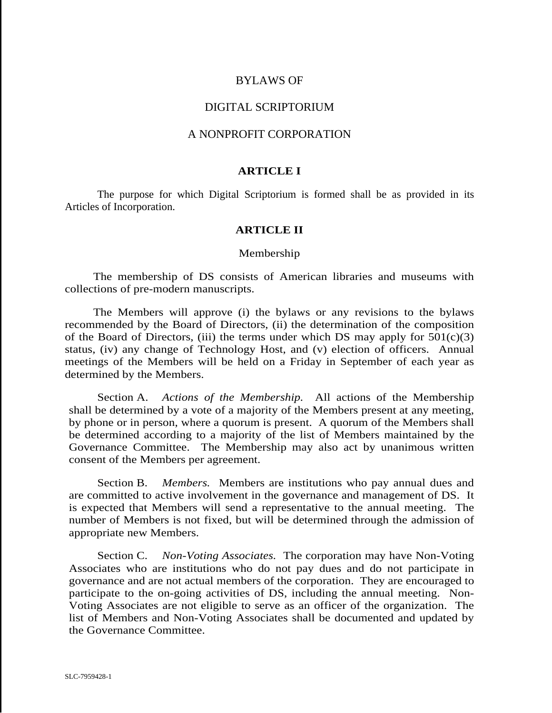# BYLAWS OF

# DIGITAL SCRIPTORIUM

# A NONPROFIT CORPORATION

## **ARTICLE I**

The purpose for which Digital Scriptorium is formed shall be as provided in its Articles of Incorporation.

# **ARTICLE II**

## Membership

 The membership of DS consists of American libraries and museums with collections of pre-modern manuscripts.

 The Members will approve (i) the bylaws or any revisions to the bylaws recommended by the Board of Directors, (ii) the determination of the composition of the Board of Directors, (iii) the terms under which DS may apply for  $501(c)(3)$ status, (iv) any change of Technology Host, and (v) election of officers. Annual meetings of the Members will be held on a Friday in September of each year as determined by the Members.

Section A. *Actions of the Membership.* All actions of the Membership shall be determined by a vote of a majority of the Members present at any meeting, by phone or in person, where a quorum is present. A quorum of the Members shall be determined according to a majority of the list of Members maintained by the Governance Committee. The Membership may also act by unanimous written consent of the Members per agreement.

Section B. *Members.* Members are institutions who pay annual dues and are committed to active involvement in the governance and management of DS. It is expected that Members will send a representative to the annual meeting. The number of Members is not fixed, but will be determined through the admission of appropriate new Members.

Section C. *Non*-*Voting Associates.* The corporation may have Non-Voting Associates who are institutions who do not pay dues and do not participate in governance and are not actual members of the corporation. They are encouraged to participate to the on-going activities of DS, including the annual meeting. Non-Voting Associates are not eligible to serve as an officer of the organization. The list of Members and Non-Voting Associates shall be documented and updated by the Governance Committee.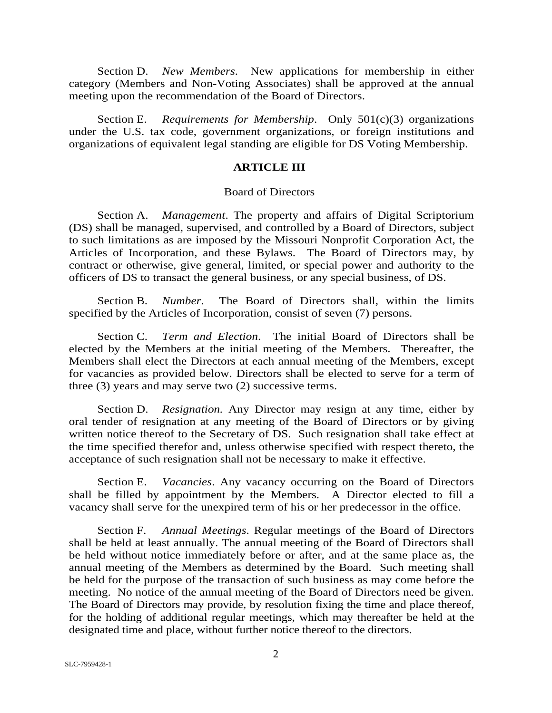Section D. *New Members*. New applications for membership in either category (Members and Non-Voting Associates) shall be approved at the annual meeting upon the recommendation of the Board of Directors.

Section E. *Requirements for Membership*.Only 501(c)(3) organizations under the U.S. tax code, government organizations, or foreign institutions and organizations of equivalent legal standing are eligible for DS Voting Membership.

## **ARTICLE III**

#### Board of Directors

Section A. *Management*. The property and affairs of Digital Scriptorium (DS) shall be managed, supervised, and controlled by a Board of Directors, subject to such limitations as are imposed by the Missouri Nonprofit Corporation Act, the Articles of Incorporation, and these Bylaws. The Board of Directors may, by contract or otherwise, give general, limited, or special power and authority to the officers of DS to transact the general business, or any special business, of DS.

Section B. *Number*. The Board of Directors shall, within the limits specified by the Articles of Incorporation, consist of seven (7) persons.

Section C. *Term and Election*. The initial Board of Directors shall be elected by the Members at the initial meeting of the Members. Thereafter, the Members shall elect the Directors at each annual meeting of the Members, except for vacancies as provided below. Directors shall be elected to serve for a term of three (3) years and may serve two (2) successive terms.

Section D. *Resignation.* Any Director may resign at any time, either by oral tender of resignation at any meeting of the Board of Directors or by giving written notice thereof to the Secretary of DS. Such resignation shall take effect at the time specified therefor and, unless otherwise specified with respect thereto, the acceptance of such resignation shall not be necessary to make it effective.

Section E. *Vacancies*. Any vacancy occurring on the Board of Directors shall be filled by appointment by the Members. A Director elected to fill a vacancy shall serve for the unexpired term of his or her predecessor in the office.

Section F. *Annual Meetings*. Regular meetings of the Board of Directors shall be held at least annually. The annual meeting of the Board of Directors shall be held without notice immediately before or after, and at the same place as, the annual meeting of the Members as determined by the Board. Such meeting shall be held for the purpose of the transaction of such business as may come before the meeting. No notice of the annual meeting of the Board of Directors need be given. The Board of Directors may provide, by resolution fixing the time and place thereof, for the holding of additional regular meetings, which may thereafter be held at the designated time and place, without further notice thereof to the directors.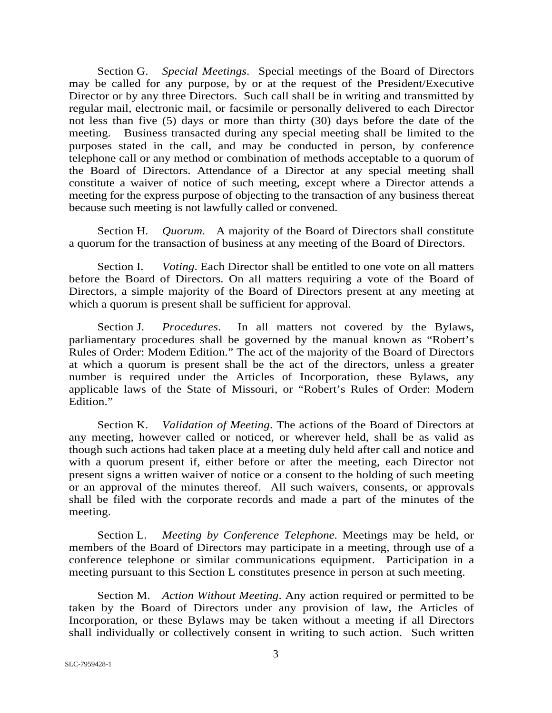Section G. *Special Meetings*. Special meetings of the Board of Directors may be called for any purpose, by or at the request of the President/Executive Director or by any three Directors. Such call shall be in writing and transmitted by regular mail, electronic mail, or facsimile or personally delivered to each Director not less than five (5) days or more than thirty (30) days before the date of the meeting. Business transacted during any special meeting shall be limited to the purposes stated in the call, and may be conducted in person, by conference telephone call or any method or combination of methods acceptable to a quorum of the Board of Directors. Attendance of a Director at any special meeting shall constitute a waiver of notice of such meeting, except where a Director attends a meeting for the express purpose of objecting to the transaction of any business thereat because such meeting is not lawfully called or convened.

Section H. *Quorum.* A majority of the Board of Directors shall constitute a quorum for the transaction of business at any meeting of the Board of Directors.

Section I. *Voting*. Each Director shall be entitled to one vote on all matters before the Board of Directors. On all matters requiring a vote of the Board of Directors, a simple majority of the Board of Directors present at any meeting at which a quorum is present shall be sufficient for approval.

Section J. *Procedures*. In all matters not covered by the Bylaws, parliamentary procedures shall be governed by the manual known as "Robert's Rules of Order: Modern Edition." The act of the majority of the Board of Directors at which a quorum is present shall be the act of the directors, unless a greater number is required under the Articles of Incorporation, these Bylaws, any applicable laws of the State of Missouri, or "Robert's Rules of Order: Modern Edition."

Section K. *Validation of Meeting*. The actions of the Board of Directors at any meeting, however called or noticed, or wherever held, shall be as valid as though such actions had taken place at a meeting duly held after call and notice and with a quorum present if, either before or after the meeting, each Director not present signs a written waiver of notice or a consent to the holding of such meeting or an approval of the minutes thereof. All such waivers, consents, or approvals shall be filed with the corporate records and made a part of the minutes of the meeting.

Section L. *Meeting by Conference Telephone.* Meetings may be held, or members of the Board of Directors may participate in a meeting, through use of a conference telephone or similar communications equipment. Participation in a meeting pursuant to this Section L constitutes presence in person at such meeting.

Section M. *Action Without Meeting*. Any action required or permitted to be taken by the Board of Directors under any provision of law, the Articles of Incorporation, or these Bylaws may be taken without a meeting if all Directors shall individually or collectively consent in writing to such action. Such written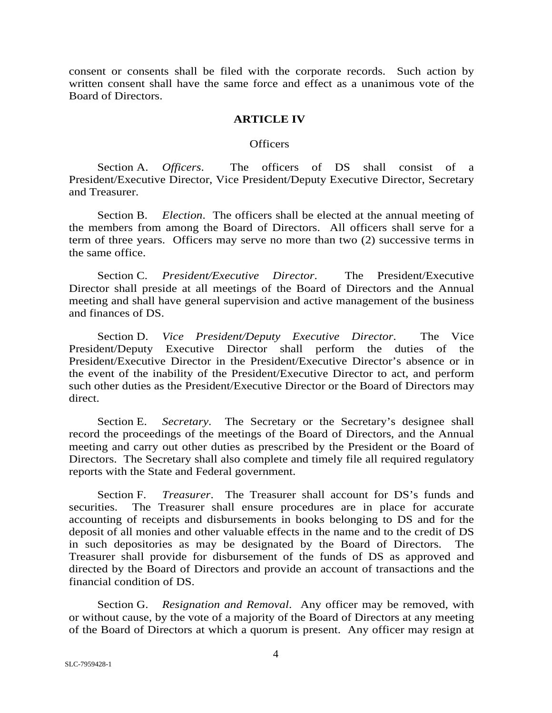consent or consents shall be filed with the corporate records. Such action by written consent shall have the same force and effect as a unanimous vote of the Board of Directors.

## **ARTICLE IV**

### **Officers**

Section A. *Officers*. The officers of DS shall consist of a President/Executive Director, Vice President/Deputy Executive Director, Secretary and Treasurer.

Section B. *Election*. The officers shall be elected at the annual meeting of the members from among the Board of Directors. All officers shall serve for a term of three years. Officers may serve no more than two (2) successive terms in the same office.

Section C. *President/Executive Director*. The President/Executive Director shall preside at all meetings of the Board of Directors and the Annual meeting and shall have general supervision and active management of the business and finances of DS.

Section D. *Vice President/Deputy Executive Director*. The Vice President/Deputy Executive Director shall perform the duties of the President/Executive Director in the President/Executive Director's absence or in the event of the inability of the President/Executive Director to act, and perform such other duties as the President/Executive Director or the Board of Directors may direct.

Section E. *Secretary*. The Secretary or the Secretary's designee shall record the proceedings of the meetings of the Board of Directors, and the Annual meeting and carry out other duties as prescribed by the President or the Board of Directors. The Secretary shall also complete and timely file all required regulatory reports with the State and Federal government.

Section F. *Treasurer*. The Treasurer shall account for DS's funds and securities. The Treasurer shall ensure procedures are in place for accurate accounting of receipts and disbursements in books belonging to DS and for the deposit of all monies and other valuable effects in the name and to the credit of DS in such depositories as may be designated by the Board of Directors. The Treasurer shall provide for disbursement of the funds of DS as approved and directed by the Board of Directors and provide an account of transactions and the financial condition of DS.

Section G. *Resignation and Removal*. Any officer may be removed, with or without cause, by the vote of a majority of the Board of Directors at any meeting of the Board of Directors at which a quorum is present. Any officer may resign at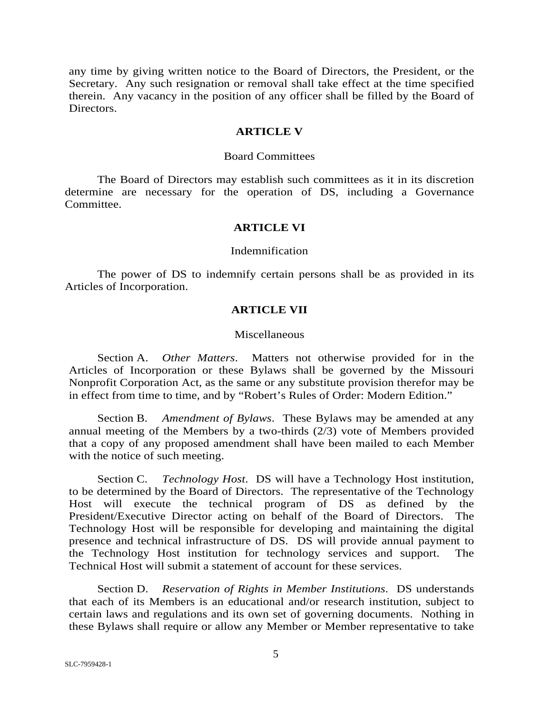any time by giving written notice to the Board of Directors, the President, or the Secretary. Any such resignation or removal shall take effect at the time specified therein. Any vacancy in the position of any officer shall be filled by the Board of Directors.

## **ARTICLE V**

#### Board Committees

 The Board of Directors may establish such committees as it in its discretion determine are necessary for the operation of DS, including a Governance Committee.

# **ARTICLE VI**

#### Indemnification

 The power of DS to indemnify certain persons shall be as provided in its Articles of Incorporation.

## **ARTICLE VII**

## Miscellaneous

Section A. *Other Matters*. Matters not otherwise provided for in the Articles of Incorporation or these Bylaws shall be governed by the Missouri Nonprofit Corporation Act, as the same or any substitute provision therefor may be in effect from time to time, and by "Robert's Rules of Order: Modern Edition."

Section B. *Amendment of Bylaws*. These Bylaws may be amended at any annual meeting of the Members by a two-thirds (2/3) vote of Members provided that a copy of any proposed amendment shall have been mailed to each Member with the notice of such meeting.

Section C. *Technology Host*. DS will have a Technology Host institution, to be determined by the Board of Directors. The representative of the Technology Host will execute the technical program of DS as defined by the President/Executive Director acting on behalf of the Board of Directors. The Technology Host will be responsible for developing and maintaining the digital presence and technical infrastructure of DS. DS will provide annual payment to the Technology Host institution for technology services and support. The Technical Host will submit a statement of account for these services.

Section D. *Reservation of Rights in Member Institutions*. DS understands that each of its Members is an educational and/or research institution, subject to certain laws and regulations and its own set of governing documents. Nothing in these Bylaws shall require or allow any Member or Member representative to take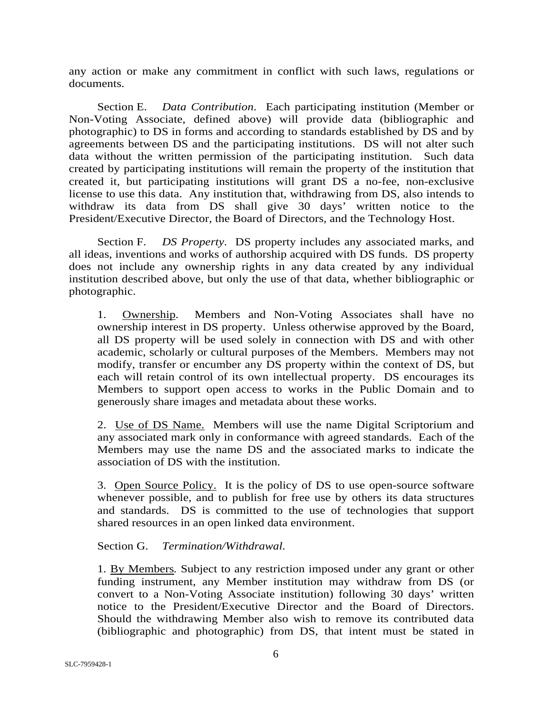any action or make any commitment in conflict with such laws, regulations or documents.

Section E. *Data Contribution*.Each participating institution (Member or Non-Voting Associate, defined above) will provide data (bibliographic and photographic) to DS in forms and according to standards established by DS and by agreements between DS and the participating institutions. DS will not alter such data without the written permission of the participating institution. Such data created by participating institutions will remain the property of the institution that created it, but participating institutions will grant DS a no-fee, non-exclusive license to use this data. Any institution that, withdrawing from DS, also intends to withdraw its data from DS shall give 30 days' written notice to the President/Executive Director, the Board of Directors, and the Technology Host.

Section F. *DS Property*. DS property includes any associated marks, and all ideas, inventions and works of authorship acquired with DS funds. DS property does not include any ownership rights in any data created by any individual institution described above, but only the use of that data, whether bibliographic or photographic.

1. Ownership. Members and Non-Voting Associates shall have no ownership interest in DS property. Unless otherwise approved by the Board, all DS property will be used solely in connection with DS and with other academic, scholarly or cultural purposes of the Members. Members may not modify, transfer or encumber any DS property within the context of DS, but each will retain control of its own intellectual property. DS encourages its Members to support open access to works in the Public Domain and to generously share images and metadata about these works.

2. Use of DS Name. Members will use the name Digital Scriptorium and any associated mark only in conformance with agreed standards. Each of the Members may use the name DS and the associated marks to indicate the association of DS with the institution.

3. Open Source Policy. It is the policy of DS to use open-source software whenever possible, and to publish for free use by others its data structures and standards. DS is committed to the use of technologies that support shared resources in an open linked data environment.

Section G. *Termination/Withdrawal.*

1. By Members*.* Subject to any restriction imposed under any grant or other funding instrument, any Member institution may withdraw from DS (or convert to a Non-Voting Associate institution) following 30 days' written notice to the President/Executive Director and the Board of Directors. Should the withdrawing Member also wish to remove its contributed data (bibliographic and photographic) from DS, that intent must be stated in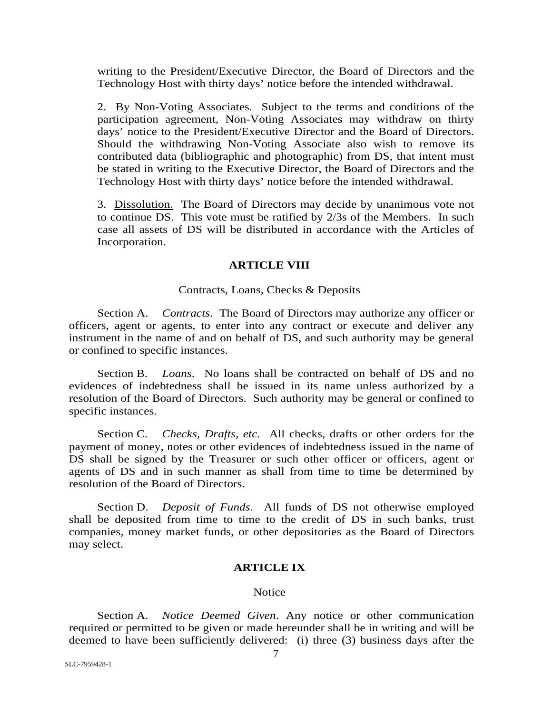writing to the President/Executive Director, the Board of Directors and the Technology Host with thirty days' notice before the intended withdrawal.

2. By Non-Voting Associates*.* Subject to the terms and conditions of the participation agreement, Non-Voting Associates may withdraw on thirty days' notice to the President/Executive Director and the Board of Directors. Should the withdrawing Non-Voting Associate also wish to remove its contributed data (bibliographic and photographic) from DS, that intent must be stated in writing to the Executive Director, the Board of Directors and the Technology Host with thirty days' notice before the intended withdrawal.

3. Dissolution. The Board of Directors may decide by unanimous vote not to continue DS. This vote must be ratified by 2/3s of the Members. In such case all assets of DS will be distributed in accordance with the Articles of Incorporation.

## **ARTICLE VIII**

## Contracts, Loans, Checks & Deposits

Section A. *Contracts*. The Board of Directors may authorize any officer or officers, agent or agents, to enter into any contract or execute and deliver any instrument in the name of and on behalf of DS, and such authority may be general or confined to specific instances.

Section B. *Loans*. No loans shall be contracted on behalf of DS and no evidences of indebtedness shall be issued in its name unless authorized by a resolution of the Board of Directors. Such authority may be general or confined to specific instances.

Section C. *Checks, Drafts, etc.* All checks, drafts or other orders for the payment of money, notes or other evidences of indebtedness issued in the name of DS shall be signed by the Treasurer or such other officer or officers, agent or agents of DS and in such manner as shall from time to time be determined by resolution of the Board of Directors.

Section D. *Deposit of Funds*. All funds of DS not otherwise employed shall be deposited from time to time to the credit of DS in such banks, trust companies, money market funds, or other depositories as the Board of Directors may select.

### **ARTICLE IX**

#### **Notice**

Section A. *Notice Deemed Given*. Any notice or other communication required or permitted to be given or made hereunder shall be in writing and will be deemed to have been sufficiently delivered: (i) three (3) business days after the